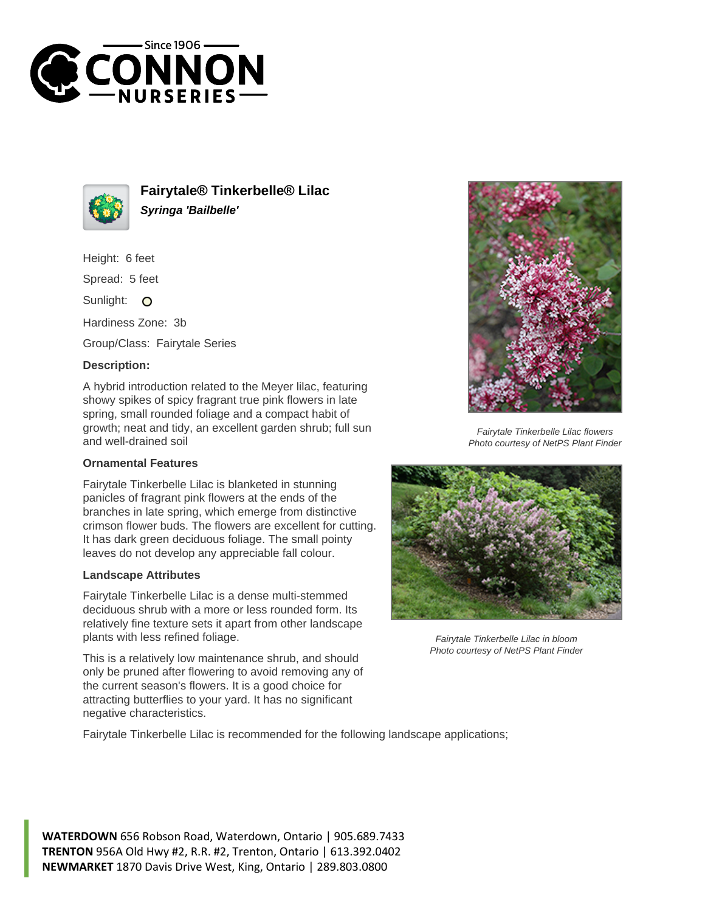



**Fairytale® Tinkerbelle® Lilac Syringa 'Bailbelle'**

Height: 6 feet

Spread: 5 feet

Sunlight: O

Hardiness Zone: 3b

Group/Class: Fairytale Series

## **Description:**

A hybrid introduction related to the Meyer lilac, featuring showy spikes of spicy fragrant true pink flowers in late spring, small rounded foliage and a compact habit of growth; neat and tidy, an excellent garden shrub; full sun and well-drained soil

## **Ornamental Features**

Fairytale Tinkerbelle Lilac is blanketed in stunning panicles of fragrant pink flowers at the ends of the branches in late spring, which emerge from distinctive crimson flower buds. The flowers are excellent for cutting. It has dark green deciduous foliage. The small pointy leaves do not develop any appreciable fall colour.

## **Landscape Attributes**

Fairytale Tinkerbelle Lilac is a dense multi-stemmed deciduous shrub with a more or less rounded form. Its relatively fine texture sets it apart from other landscape plants with less refined foliage.

This is a relatively low maintenance shrub, and should only be pruned after flowering to avoid removing any of the current season's flowers. It is a good choice for attracting butterflies to your yard. It has no significant negative characteristics.



Fairytale Tinkerbelle Lilac flowers Photo courtesy of NetPS Plant Finder



Fairytale Tinkerbelle Lilac in bloom Photo courtesy of NetPS Plant Finder

Fairytale Tinkerbelle Lilac is recommended for the following landscape applications;

**WATERDOWN** 656 Robson Road, Waterdown, Ontario | 905.689.7433 **TRENTON** 956A Old Hwy #2, R.R. #2, Trenton, Ontario | 613.392.0402 **NEWMARKET** 1870 Davis Drive West, King, Ontario | 289.803.0800